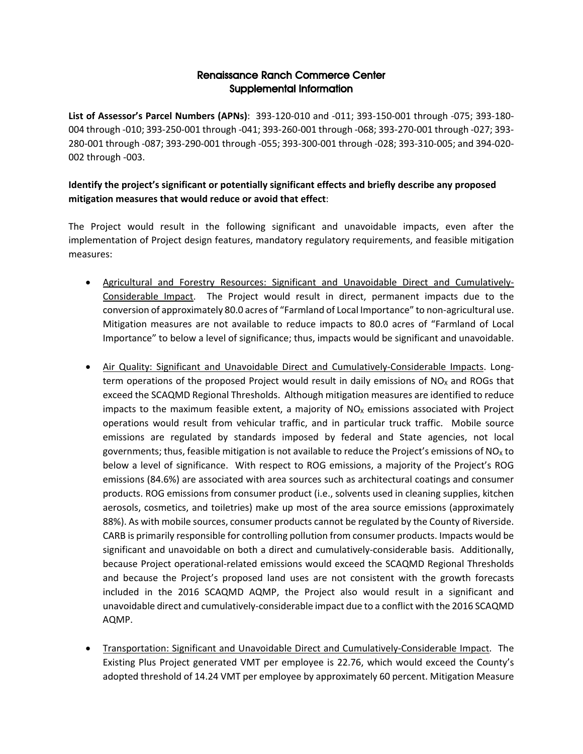## Renaissance Ranch Commerce Center Supplemental Information

**List of Assessor's Parcel Numbers (APNs)**: 393-120-010 and -011; 393-150-001 through -075; 393-180- 004 through -010; 393-250-001 through -041; 393-260-001 through -068; 393-270-001 through -027; 393- 280-001 through -087; 393-290-001 through -055; 393-300-001 through -028; 393-310-005; and 394-020- 002 through -003.

## **Identify the project's significant or potentially significant effects and briefly describe any proposed mitigation measures that would reduce or avoid that effect**:

The Project would result in the following significant and unavoidable impacts, even after the implementation of Project design features, mandatory regulatory requirements, and feasible mitigation measures:

- Agricultural and Forestry Resources: Significant and Unavoidable Direct and Cumulatively-Considerable Impact. The Project would result in direct, permanent impacts due to the conversion of approximately 80.0 acres of "Farmland of Local Importance" to non-agricultural use. Mitigation measures are not available to reduce impacts to 80.0 acres of "Farmland of Local Importance" to below a level of significance; thus, impacts would be significant and unavoidable.
- Air Quality: Significant and Unavoidable Direct and Cumulatively-Considerable Impacts. Longterm operations of the proposed Project would result in daily emissions of  $NO<sub>x</sub>$  and ROGs that exceed the SCAQMD Regional Thresholds. Although mitigation measures are identified to reduce impacts to the maximum feasible extent, a majority of  $NO<sub>X</sub>$  emissions associated with Project operations would result from vehicular traffic, and in particular truck traffic. Mobile source emissions are regulated by standards imposed by federal and State agencies, not local governments; thus, feasible mitigation is not available to reduce the Project's emissions of  $NO<sub>x</sub>$  to below a level of significance. With respect to ROG emissions, a majority of the Project's ROG emissions (84.6%) are associated with area sources such as architectural coatings and consumer products. ROG emissions from consumer product (i.e., solvents used in cleaning supplies, kitchen aerosols, cosmetics, and toiletries) make up most of the area source emissions (approximately 88%). As with mobile sources, consumer products cannot be regulated by the County of Riverside. CARB is primarily responsible for controlling pollution from consumer products. Impacts would be significant and unavoidable on both a direct and cumulatively-considerable basis. Additionally, because Project operational-related emissions would exceed the SCAQMD Regional Thresholds and because the Project's proposed land uses are not consistent with the growth forecasts included in the 2016 SCAQMD AQMP, the Project also would result in a significant and unavoidable direct and cumulatively-considerable impact due to a conflict with the 2016 SCAQMD AQMP.
- Transportation: Significant and Unavoidable Direct and Cumulatively-Considerable Impact. The Existing Plus Project generated VMT per employee is 22.76, which would exceed the County's adopted threshold of 14.24 VMT per employee by approximately 60 percent. Mitigation Measure